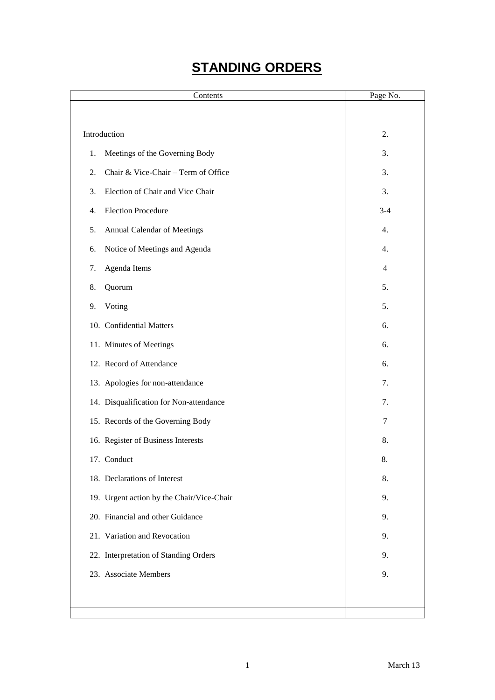# **STANDING ORDERS**

| Contents                                  | Page No.       |
|-------------------------------------------|----------------|
|                                           |                |
| Introduction                              | 2.             |
| Meetings of the Governing Body<br>1.      | 3.             |
| Chair & Vice-Chair - Term of Office<br>2. | 3.             |
| 3.<br>Election of Chair and Vice Chair    | 3.             |
| <b>Election Procedure</b><br>4.           | $3-4$          |
| <b>Annual Calendar of Meetings</b><br>5.  | 4.             |
| Notice of Meetings and Agenda<br>6.       | 4.             |
| Agenda Items<br>7.                        | $\overline{4}$ |
| 8.<br>Quorum                              | 5.             |
| Voting<br>9.                              | 5.             |
| 10. Confidential Matters                  | 6.             |
| 11. Minutes of Meetings                   | 6.             |
| 12. Record of Attendance                  | 6.             |
| 13. Apologies for non-attendance          | 7.             |
| 14. Disqualification for Non-attendance   | 7.             |
| 15. Records of the Governing Body         | 7              |
| 16. Register of Business Interests        | 8.             |
| 17. Conduct                               | 8.             |
| 18. Declarations of Interest              | 8.             |
| 19. Urgent action by the Chair/Vice-Chair | 9.             |
| 20. Financial and other Guidance          | 9.             |
| 21. Variation and Revocation              | 9.             |
| 22. Interpretation of Standing Orders     | 9.             |
| 23. Associate Members                     | 9.             |
|                                           |                |
|                                           |                |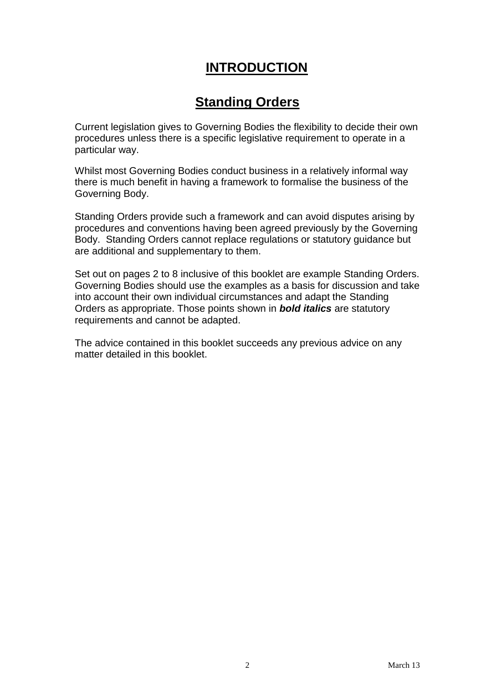## **INTRODUCTION**

## **Standing Orders**

Current legislation gives to Governing Bodies the flexibility to decide their own procedures unless there is a specific legislative requirement to operate in a particular way.

Whilst most Governing Bodies conduct business in a relatively informal way there is much benefit in having a framework to formalise the business of the Governing Body.

Standing Orders provide such a framework and can avoid disputes arising by procedures and conventions having been agreed previously by the Governing Body. Standing Orders cannot replace regulations or statutory guidance but are additional and supplementary to them.

Set out on pages 2 to 8 inclusive of this booklet are example Standing Orders. Governing Bodies should use the examples as a basis for discussion and take into account their own individual circumstances and adapt the Standing Orders as appropriate. Those points shown in *bold italics* are statutory requirements and cannot be adapted.

The advice contained in this booklet succeeds any previous advice on any matter detailed in this booklet.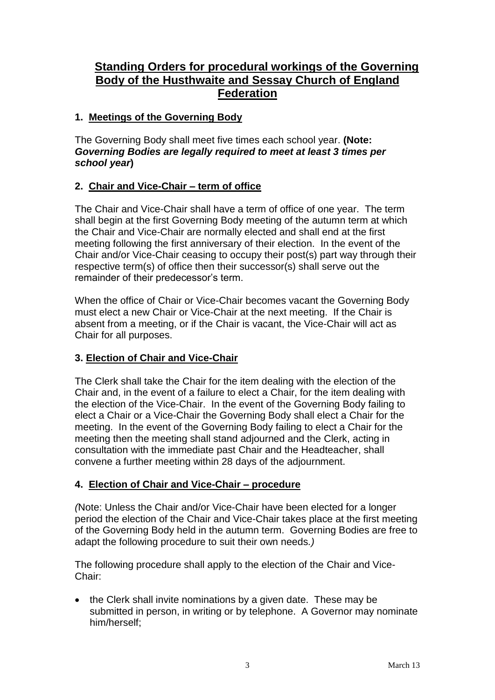## **Standing Orders for procedural workings of the Governing Body of the Husthwaite and Sessay Church of England Federation**

#### **1. Meetings of the Governing Body**

The Governing Body shall meet five times each school year. **(Note:**  *Governing Bodies are legally required to meet at least 3 times per school year***)**

#### **2. Chair and Vice-Chair – term of office**

The Chair and Vice-Chair shall have a term of office of one year. The term shall begin at the first Governing Body meeting of the autumn term at which the Chair and Vice-Chair are normally elected and shall end at the first meeting following the first anniversary of their election. In the event of the Chair and/or Vice-Chair ceasing to occupy their post(s) part way through their respective term(s) of office then their successor(s) shall serve out the remainder of their predecessor's term.

When the office of Chair or Vice-Chair becomes vacant the Governing Body must elect a new Chair or Vice-Chair at the next meeting. If the Chair is absent from a meeting, or if the Chair is vacant, the Vice-Chair will act as Chair for all purposes.

#### **3. Election of Chair and Vice-Chair**

The Clerk shall take the Chair for the item dealing with the election of the Chair and, in the event of a failure to elect a Chair, for the item dealing with the election of the Vice-Chair. In the event of the Governing Body failing to elect a Chair or a Vice-Chair the Governing Body shall elect a Chair for the meeting. In the event of the Governing Body failing to elect a Chair for the meeting then the meeting shall stand adjourned and the Clerk, acting in consultation with the immediate past Chair and the Headteacher, shall convene a further meeting within 28 days of the adjournment.

#### **4. Election of Chair and Vice-Chair – procedure**

*(*Note: Unless the Chair and/or Vice-Chair have been elected for a longer period the election of the Chair and Vice-Chair takes place at the first meeting of the Governing Body held in the autumn term. Governing Bodies are free to adapt the following procedure to suit their own needs*.)*

The following procedure shall apply to the election of the Chair and Vice-Chair:

• the Clerk shall invite nominations by a given date. These may be submitted in person, in writing or by telephone. A Governor may nominate him/herself;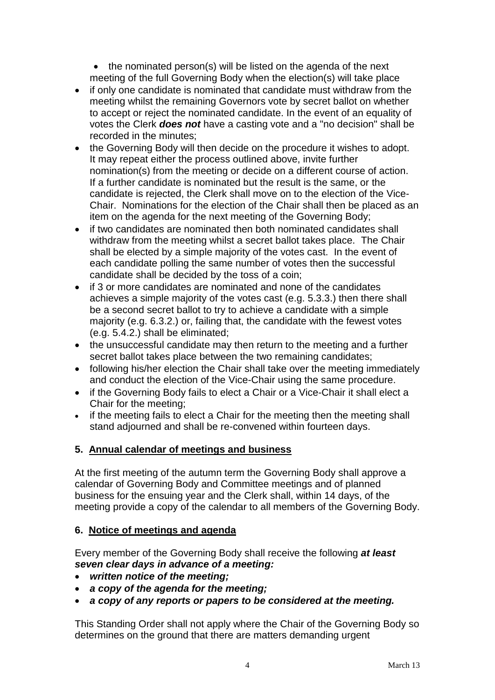• the nominated person(s) will be listed on the agenda of the next meeting of the full Governing Body when the election(s) will take place

- if only one candidate is nominated that candidate must withdraw from the meeting whilst the remaining Governors vote by secret ballot on whether to accept or reject the nominated candidate. In the event of an equality of votes the Clerk *does not* have a casting vote and a "no decision" shall be recorded in the minutes:
- the Governing Body will then decide on the procedure it wishes to adopt. It may repeat either the process outlined above, invite further nomination(s) from the meeting or decide on a different course of action. If a further candidate is nominated but the result is the same, or the candidate is rejected, the Clerk shall move on to the election of the Vice-Chair. Nominations for the election of the Chair shall then be placed as an item on the agenda for the next meeting of the Governing Body;
- if two candidates are nominated then both nominated candidates shall withdraw from the meeting whilst a secret ballot takes place. The Chair shall be elected by a simple majority of the votes cast. In the event of each candidate polling the same number of votes then the successful candidate shall be decided by the toss of a coin;
- if 3 or more candidates are nominated and none of the candidates achieves a simple majority of the votes cast (e.g. 5.3.3.) then there shall be a second secret ballot to try to achieve a candidate with a simple majority (e.g. 6.3.2.) or, failing that, the candidate with the fewest votes (e.g. 5.4.2.) shall be eliminated;
- the unsuccessful candidate may then return to the meeting and a further secret ballot takes place between the two remaining candidates;
- following his/her election the Chair shall take over the meeting immediately and conduct the election of the Vice-Chair using the same procedure.
- if the Governing Body fails to elect a Chair or a Vice-Chair it shall elect a Chair for the meeting;
- if the meeting fails to elect a Chair for the meeting then the meeting shall stand adjourned and shall be re-convened within fourteen days.

#### **5. Annual calendar of meetings and business**

At the first meeting of the autumn term the Governing Body shall approve a calendar of Governing Body and Committee meetings and of planned business for the ensuing year and the Clerk shall, within 14 days, of the meeting provide a copy of the calendar to all members of the Governing Body.

#### **6. Notice of meetings and agenda**

Every member of the Governing Body shall receive the following *at least seven clear days in advance of a meeting:* 

- *written notice of the meeting;*
- *a copy of the agenda for the meeting;*
- *a copy of any reports or papers to be considered at the meeting.*

This Standing Order shall not apply where the Chair of the Governing Body so determines on the ground that there are matters demanding urgent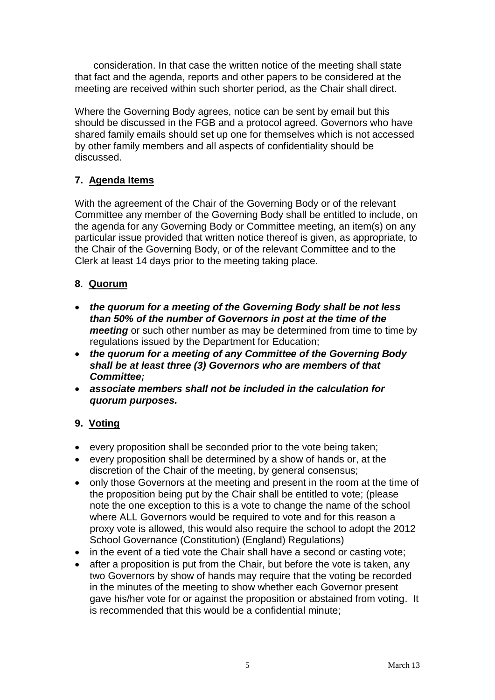consideration. In that case the written notice of the meeting shall state that fact and the agenda, reports and other papers to be considered at the meeting are received within such shorter period, as the Chair shall direct.

Where the Governing Body agrees, notice can be sent by email but this should be discussed in the FGB and a protocol agreed. Governors who have shared family emails should set up one for themselves which is not accessed by other family members and all aspects of confidentiality should be discussed.

## **7. Agenda Items**

With the agreement of the Chair of the Governing Body or of the relevant Committee any member of the Governing Body shall be entitled to include, on the agenda for any Governing Body or Committee meeting, an item(s) on any particular issue provided that written notice thereof is given, as appropriate, to the Chair of the Governing Body, or of the relevant Committee and to the Clerk at least 14 days prior to the meeting taking place.

### **8**. **Quorum**

- *the quorum for a meeting of the Governing Body shall be not less than 50% of the number of Governors in post at the time of the meeting* or such other number as may be determined from time to time by regulations issued by the Department for Education;
- *the quorum for a meeting of any Committee of the Governing Body shall be at least three (3) Governors who are members of that Committee;*
- *associate members shall not be included in the calculation for quorum purposes.*

## **9. Voting**

- every proposition shall be seconded prior to the vote being taken;
- every proposition shall be determined by a show of hands or, at the discretion of the Chair of the meeting, by general consensus;
- only those Governors at the meeting and present in the room at the time of the proposition being put by the Chair shall be entitled to vote; (please note the one exception to this is a vote to change the name of the school where ALL Governors would be required to vote and for this reason a proxy vote is allowed, this would also require the school to adopt the 2012 School Governance (Constitution) (England) Regulations)
- in the event of a tied vote the Chair shall have a second or casting vote;
- after a proposition is put from the Chair, but before the vote is taken, any two Governors by show of hands may require that the voting be recorded in the minutes of the meeting to show whether each Governor present gave his/her vote for or against the proposition or abstained from voting. It is recommended that this would be a confidential minute;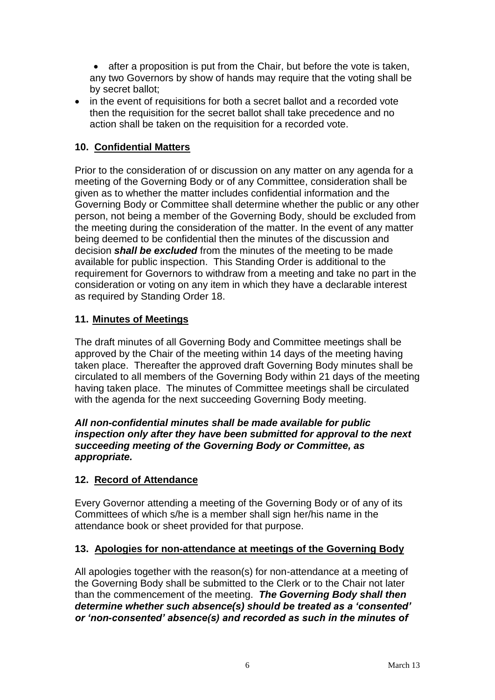• after a proposition is put from the Chair, but before the vote is taken, any two Governors by show of hands may require that the voting shall be by secret ballot;

• in the event of requisitions for both a secret ballot and a recorded vote then the requisition for the secret ballot shall take precedence and no action shall be taken on the requisition for a recorded vote.

#### **10. Confidential Matters**

Prior to the consideration of or discussion on any matter on any agenda for a meeting of the Governing Body or of any Committee, consideration shall be given as to whether the matter includes confidential information and the Governing Body or Committee shall determine whether the public or any other person, not being a member of the Governing Body, should be excluded from the meeting during the consideration of the matter. In the event of any matter being deemed to be confidential then the minutes of the discussion and decision *shall be excluded* from the minutes of the meeting to be made available for public inspection. This Standing Order is additional to the requirement for Governors to withdraw from a meeting and take no part in the consideration or voting on any item in which they have a declarable interest as required by Standing Order 18.

#### **11. Minutes of Meetings**

The draft minutes of all Governing Body and Committee meetings shall be approved by the Chair of the meeting within 14 days of the meeting having taken place. Thereafter the approved draft Governing Body minutes shall be circulated to all members of the Governing Body within 21 days of the meeting having taken place.The minutes of Committee meetings shall be circulated with the agenda for the next succeeding Governing Body meeting.

*All non-confidential minutes shall be made available for public inspection only after they have been submitted for approval to the next succeeding meeting of the Governing Body or Committee, as appropriate.*

#### **12. Record of Attendance**

Every Governor attending a meeting of the Governing Body or of any of its Committees of which s/he is a member shall sign her/his name in the attendance book or sheet provided for that purpose.

#### **13. Apologies for non-attendance at meetings of the Governing Body**

All apologies together with the reason(s) for non-attendance at a meeting of the Governing Body shall be submitted to the Clerk or to the Chair not later than the commencement of the meeting. *The Governing Body shall then determine whether such absence(s) should be treated as a 'consented' or 'non-consented' absence(s) and recorded as such in the minutes of*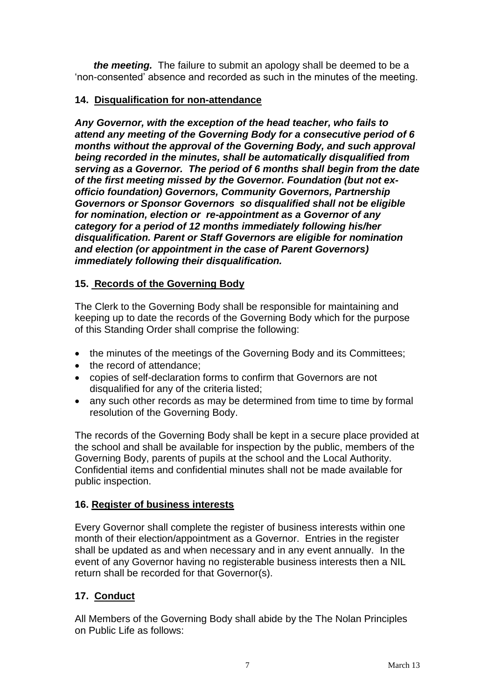*the meeting.* The failure to submit an apology shall be deemed to be a 'non-consented' absence and recorded as such in the minutes of the meeting.

#### **14. Disqualification for non-attendance**

*Any Governor, with the exception of the head teacher, who fails to attend any meeting of the Governing Body for a consecutive period of 6 months without the approval of the Governing Body, and such approval being recorded in the minutes, shall be automatically disqualified from serving as a Governor. The period of 6 months shall begin from the date of the first meeting missed by the Governor. Foundation (but not exofficio foundation) Governors, Community Governors, Partnership Governors or Sponsor Governors so disqualified shall not be eligible for nomination, election or re-appointment as a Governor of any category for a period of 12 months immediately following his/her disqualification. Parent or Staff Governors are eligible for nomination and election (or appointment in the case of Parent Governors) immediately following their disqualification.* 

#### **15. Records of the Governing Body**

The Clerk to the Governing Body shall be responsible for maintaining and keeping up to date the records of the Governing Body which for the purpose of this Standing Order shall comprise the following:

- the minutes of the meetings of the Governing Body and its Committees;
- the record of attendance;
- copies of self-declaration forms to confirm that Governors are not disqualified for any of the criteria listed;
- any such other records as may be determined from time to time by formal resolution of the Governing Body.

The records of the Governing Body shall be kept in a secure place provided at the school and shall be available for inspection by the public, members of the Governing Body, parents of pupils at the school and the Local Authority. Confidential items and confidential minutes shall not be made available for public inspection.

#### **16. Register of business interests**

Every Governor shall complete the register of business interests within one month of their election/appointment as a Governor. Entries in the register shall be updated as and when necessary and in any event annually. In the event of any Governor having no registerable business interests then a NIL return shall be recorded for that Governor(s).

#### **17. Conduct**

All Members of the Governing Body shall abide by the The Nolan Principles on Public Life as follows: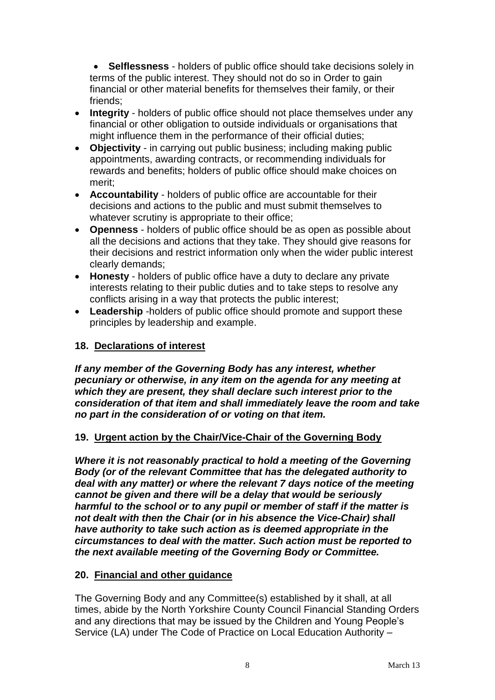**Selflessness** - holders of public office should take decisions solely in terms of the public interest. They should not do so in Order to gain financial or other material benefits for themselves their family, or their friends;

- **Integrity** holders of public office should not place themselves under any financial or other obligation to outside individuals or organisations that might influence them in the performance of their official duties;
- **Objectivity**  in carrying out public business; including making public appointments, awarding contracts, or recommending individuals for rewards and benefits; holders of public office should make choices on merit;
- **Accountability**  holders of public office are accountable for their decisions and actions to the public and must submit themselves to whatever scrutiny is appropriate to their office;
- **Openness**  holders of public office should be as open as possible about all the decisions and actions that they take. They should give reasons for their decisions and restrict information only when the wider public interest clearly demands;
- **Honesty**  holders of public office have a duty to declare any private interests relating to their public duties and to take steps to resolve any conflicts arising in a way that protects the public interest;
- **Leadership** -holders of public office should promote and support these principles by leadership and example.

#### **18. Declarations of interest**

*If any member of the Governing Body has any interest, whether pecuniary or otherwise, in any item on the agenda for any meeting at which they are present, they shall declare such interest prior to the consideration of that item and shall immediately leave the room and take no part in the consideration of or voting on that item.*

#### **19. Urgent action by the Chair/Vice-Chair of the Governing Body**

*Where it is not reasonably practical to hold a meeting of the Governing Body (or of the relevant Committee that has the delegated authority to deal with any matter) or where the relevant 7 days notice of the meeting cannot be given and there will be a delay that would be seriously harmful to the school or to any pupil or member of staff if the matter is not dealt with then the Chair (or in his absence the Vice-Chair) shall have authority to take such action as is deemed appropriate in the circumstances to deal with the matter. Such action must be reported to the next available meeting of the Governing Body or Committee.*

#### **20. Financial and other guidance**

The Governing Body and any Committee(s) established by it shall, at all times, abide by the North Yorkshire County Council Financial Standing Orders and any directions that may be issued by the Children and Young People's Service (LA) under The Code of Practice on Local Education Authority –